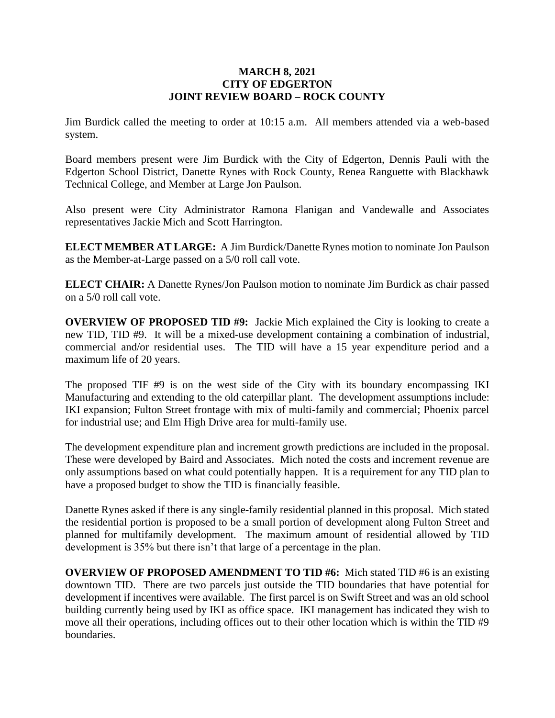## **MARCH 8, 2021 CITY OF EDGERTON JOINT REVIEW BOARD – ROCK COUNTY**

Jim Burdick called the meeting to order at 10:15 a.m. All members attended via a web-based system.

Board members present were Jim Burdick with the City of Edgerton, Dennis Pauli with the Edgerton School District, Danette Rynes with Rock County, Renea Ranguette with Blackhawk Technical College, and Member at Large Jon Paulson.

Also present were City Administrator Ramona Flanigan and Vandewalle and Associates representatives Jackie Mich and Scott Harrington.

**ELECT MEMBER AT LARGE:** A Jim Burdick/Danette Rynes motion to nominate Jon Paulson as the Member-at-Large passed on a 5/0 roll call vote.

**ELECT CHAIR:** A Danette Rynes/Jon Paulson motion to nominate Jim Burdick as chair passed on a 5/0 roll call vote.

**OVERVIEW OF PROPOSED TID #9:** Jackie Mich explained the City is looking to create a new TID, TID #9. It will be a mixed-use development containing a combination of industrial, commercial and/or residential uses. The TID will have a 15 year expenditure period and a maximum life of 20 years.

The proposed TIF #9 is on the west side of the City with its boundary encompassing IKI Manufacturing and extending to the old caterpillar plant. The development assumptions include: IKI expansion; Fulton Street frontage with mix of multi-family and commercial; Phoenix parcel for industrial use; and Elm High Drive area for multi-family use.

The development expenditure plan and increment growth predictions are included in the proposal. These were developed by Baird and Associates. Mich noted the costs and increment revenue are only assumptions based on what could potentially happen. It is a requirement for any TID plan to have a proposed budget to show the TID is financially feasible.

Danette Rynes asked if there is any single-family residential planned in this proposal. Mich stated the residential portion is proposed to be a small portion of development along Fulton Street and planned for multifamily development. The maximum amount of residential allowed by TID development is 35% but there isn't that large of a percentage in the plan.

**OVERVIEW OF PROPOSED AMENDMENT TO TID #6:** Mich stated TID #6 is an existing downtown TID. There are two parcels just outside the TID boundaries that have potential for development if incentives were available. The first parcel is on Swift Street and was an old school building currently being used by IKI as office space. IKI management has indicated they wish to move all their operations, including offices out to their other location which is within the TID #9 boundaries.